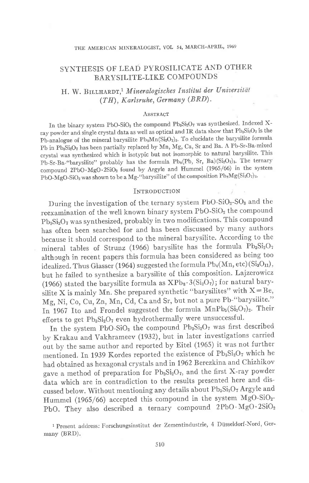### SYNTHESIS OF LEAD PYROSILICATE AND OTHER BARYSILITE-LIKE COMPOUNDS

## H. W. BILLHARDT,<sup>1</sup> Mineralogisches Institut der Universität  $(TH)$ , Karlsruhe, Germany  $(BRD)$ .

#### ABSTRACT

In the binary system PbO-SiO<sub>2</sub> the compound Pb<sub>3</sub>Si<sub>2</sub>O<sub>7</sub> was synthesized. Indexed Xray powder and single crystal data as well as optical and IR data show that  $Pb_9Si_2O_7$  is the Pb-analogue of the mineral barysilite Pb<sub>8</sub>Mn(Si<sub>2</sub>O<sub>7</sub>)<sub>3</sub>. To elucidate the barysilite formula Pb in Pb<sub>3</sub>Si<sub>2</sub>O<sub>7</sub> has been partially replaced by Mn, Mg, Ca, Sr and Ba. A Pb-Sr-Ba-mixed crystal was synthesized which is isotypic but not isomorphic to natural barysilite. This Pb-Sr-Ba-"barysilite" probably has the formula Pb<sub>8</sub>(Pb, Sr, Ba)(Si<sub>2</sub>O<sub>7</sub>)<sub>3</sub>. The ternary compound 2PbO.MgO.2SiO<sub>2</sub> found by Argyle and Hummel (1965/66) in the system PbO-MgO-SiO<sub>2</sub> was shown to be a Mg-"barysilite" of the composition Pb<sub>8</sub>Mg(Si<sub>2</sub>O<sub>7</sub>)<sub>3</sub>.

#### INTRODUCTION

During the investigation of the ternary system  $PbO-SiO<sub>2</sub>-SO<sub>3</sub>$  and the reexamination of the well known binary system PbO-SiO<sub>2</sub> the compound  $Pb_3Si_2O_7$  was synthesized, probably in two modifications. This compound has often been searched for and has been discussed by many authors because it should correspond to the mineral barysilite. According to the mineral tables of Strunz (1966) barysilite has the formula  $Pb_3Si_2O_7$ although in recent papgrs this formula has been considered as being too idealized. Thus Glasser (1964) suggested the formula  $Pb_4(Mn, etc)$  (Si<sub>3</sub>O<sub>n</sub>), but he failed to synthesize a barysilite of this composition. Lajzerowicz (1966) stated the barysilite formula as  $XPb_8 \cdot 3(Si_2O_7)$ ; for natural barysilite X is mainly Mn. She prepared synthetic "barysilites" with  $X = Be$ , Mg, Ni, Co, Cu, Zn, Mn, Cd, Ca and Sr, but not a pure Pb-"barysilite." In 1967 Ito and Frondel suggested the formula  $MnPb_5(Si_2O_7)_2$ . Their efforts to get  $Pb_3Si_2O_7$  even hydrothermally were unsuccessful.

In the system PbO-SiO<sub>2</sub> the compound Pb<sub>3</sub>Si<sub>2</sub>O<sub>7</sub> was first described by Krakau and vakhrameev (1932), but in later investigations carried out by the same author and reported by Eitel (1965) it was not further mentioned. In 1939 Kordes reported the existence of  $Pb_3Si_2O_7$  which he had obtained as hexagonal crystals and in 1962 Berezkina and Chizhikov gave a method of preparation for  $Pb_3Si_2O_7$ , and the first X-ray powder data which are in contradiction to the results presented here and discussed below. Without mentioning any details about  $\mathrm{Pb}_3\mathrm{Si}_2\mathrm{O}_7$  Argyle and Hummel (1965/66) accepted this compound in the system MgO-SiOz-PbO. They also described a ternary compound 2PbO $\cdot$ MgO $\cdot$ 2SiO<sub>2</sub>

1 Present address: Forschungsinstitut der Zementindustrie, 4 Diisseldorf-Nord, Germany (BRD).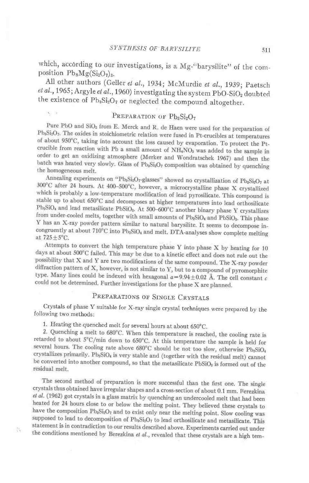which, according to our investigations, is a Mg-"barysilite" of the composition  $Pb_8Mg(Si_2O_7)_3$ .

All other authors (Geller et al., 1934; McMurdie et al., 1939; Paetsch et al., 1965; Argyle et al., 1960) investigating the system PbO-SiO<sub>2</sub> doubted the existence of Pb<sub>3</sub>Si<sub>2</sub>O<sub>7</sub> or neglected the compound altogether.

## PREPARATION OF Pb<sub>3</sub>Si<sub>2</sub>O<sub>7</sub>

Pure PbO and SiO<sub>2</sub> from E. Merck and R. de Haen were used for the preparation of Pb<sub>3</sub>Si<sub>2</sub>O<sub>7</sub>. The oxides in stoichiometric relation were fused in Pt-crucibles at temperatures of about 950°C, taking into account the loss caused by evaporation. To protect the Ptcrucible from reaction with Pb a small amount of NH<sub>4</sub>NO<sub>3</sub> was added to the sample in order to get an oxidizing atmosphere (Merker and Wondratschek 1967) and then the batch was heated very slowly. Glass of Pb<sub>3</sub>Si<sub>2</sub>O<sub>7</sub> composition was obtained by quenching the homogeneous melt.

Annealing experiments on "Pb<sub>3</sub>Si<sub>2</sub>O<sub>7</sub>-glasses" showed no crystallization of Pb<sub>3</sub>Si<sub>2</sub>O<sub>7</sub> at 300°C after 24 hours. At 400-500°C, however, a microcrystalline phase X crystallized which is probably a low-temperature modification of lead pyrosilicate. This compound is stable up to about 650°C and decomposes at higher temperatures into lead orthosilicate Pb<sub>2</sub>SiO<sub>4</sub> and lead metasilicate PbSiO<sub>3</sub>. At 500-600°C another binary phase Y crystallizes from under-cooled melts, together with small amounts of Pb<sub>2</sub>SiO<sub>4</sub> and PbSiO<sub>3</sub>. This phase Y has an X-ray powder pattern similar to natural barysilite. It seems to decompose incongruently at about 710°C into Pb<sub>2</sub>SiO<sub>4</sub> and melt. DTA-analyses show complete melting at 725 ± 5°C.

Attempts to convert the high temperature phase Y into phase X by heating for 10 days at about 500°C failed. This may be due to a kinetic effect and does not rule out the possibility that X and Y are two modifications of the same compound. The X-ray powder diffraction pattern of X, however, is not similar to Y, but to a compound of pyromorphite type. Many lines could be indexed with hexagonal  $a=9.94\pm0.02$  Å. The cell constant c could not be determined. Further investigations for the phase X are planned.

#### PREPARATIONS OF SINGLE CRYSTALS

Crystals of phase Y suitable for X-ray single crystal techniques were prepared by the following two methods:

1. Heating the quenched melt for several hours at about 650°C.

臥

2. Quenching a melt to 680°C. When this temperature is reached, the cooling rate is retarded to about  $5^{\circ}$ C/min down to 650°C. At this temperature the sample is held for several hours. The cooling rate above 680°C should be not too slow, otherwise Pb<sub>2</sub>SiO<sub>4</sub> crystallizes primarily. Pb<sub>2</sub>SiO<sub>4</sub> is very stable and (together with the residual melt) cannot be converted into another compound, so that the metasilicate PbSiO<sub>3</sub> is formed out of the residual melt.

The second method of preparation is more successful than the first one. The single crystals thus obtained have irregular shapes and a cross-section of about 0.1 mm. Perezkina et al. (1962) got crystals in a glass matrix by quenching an undercooled melt that had been heated for 24 hours close to or below the melting point. They believed these crystals to have the composition Pb<sub>3</sub>Si<sub>2</sub>O<sub>7</sub> and to exist only near the melting point. Slow cooling was supposed to lead to decomposition of Pb<sub>a</sub>Si<sub>2</sub>O<sub>7</sub> to lead orthosilicate and metasilicate. This statement is in contradiction to our results described above. Experiments carried out under the conditions mentioned by Berezkina et al., revealed that these crystals are a high tem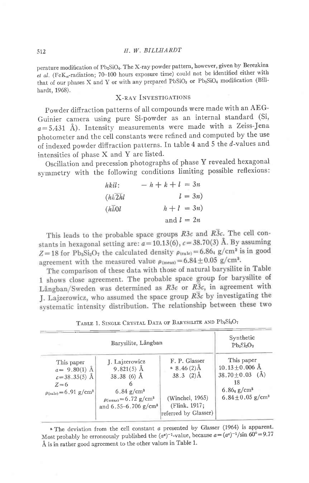perature modification of Pb<sub>2</sub>SiO<sub>4</sub>. The X-ray powder pattern, however, given by Berezkina et al. (Fe $K_{\alpha}$ -radiation; 70-100 hours exposure time) could not be identified either with that of our phases X and Y or with any prepared PbSiO<sub>3</sub> or Pb<sub>2</sub>SiO<sub>4</sub> modification (Billhardt, 1968).

#### **X-RAY INVESTIGATIONS**

Powder diffraction patterns of all compounds were made with an AEG-Guinier camera using pure Si-powder as an internal standard (Si,  $a=5.431$  Å). Intensity measurements were made with a Zeiss-Jena photometer and the cell constants were refined and computed by the use of indexed powder diffraction patterns. In table 4 and 5 the  $d$ -values and intensities of phase X and Y are listed.

Oscillation and precession photographs of phase Y revealed hexagonal symmetry with the following conditions limiting possible reflexions:

| $hki!$              | $- h + k + l = 3n$ |
|---------------------|--------------------|
| $(h\overline{h2h}l$ | $l = 3n$ )         |
| $(h\overline{h0}l$  | $h + l = 3n$ )     |
| and $l = 2n$        |                    |

This leads to the probable space groups  $R3c$  and  $R3c$ . The cell constants in hexagonal setting are:  $a=10.13(6)$ ,  $c=38.70(3)$  Å. By assuming  $Z = 18$  for Pb<sub>3</sub>S<sub>12</sub>O<sub>7</sub> the calculated density  $\rho_{\text{(calc)}} = 6.864$  g/cm<sup>3</sup> is in good agreement with the measured value  $\rho_{\text{(meas)}} = 6.84 \pm 0.05 \text{ g/cm}^3$ .

The comparison of these data with those of natural barysilite in Table 1 shows close agreement. The probable space group for barysilite of Långban/Sweden was determined as  $R3c$  or  $R3c$ , in agreement with J. Lajzerowicz, who assumed the space group  $R\overline{3}c$  by investigating the systematic intensity distribution. The relationship between these two

|  |  | TABLE 1. SINGLE CRYSTAL DATA OF BARYSILITE AND PD3012O7 |  |  |
|--|--|---------------------------------------------------------|--|--|
|  |  |                                                         |  |  |

 $\mathbb{R}^1$   $\mathbb{C}^1$   $\mathbb{C}$ 

|                                                                                                              | Synthetic<br>$Pb_3Si_2O_7$                                                                                                                                  |                                                                                                            |                                                                                                                                    |
|--------------------------------------------------------------------------------------------------------------|-------------------------------------------------------------------------------------------------------------------------------------------------------------|------------------------------------------------------------------------------------------------------------|------------------------------------------------------------------------------------------------------------------------------------|
| This paper<br>$a = 9.80(1)$ Å<br>$c = 38.35(5)$ Å<br>$Z = 6$<br>$\rho_{\text{(calc)}} = 6.91 \text{ g/cm}^3$ | J. Lajzerowicz<br>$9.821(5)$ Å<br>$38.38(6)$ Å<br>$6.84$ g/cm <sup>3</sup><br>$p_{\text{(meas)}} = 6.72 \text{ g/cm}^3$<br>and 6.55-6.706 g/cm <sup>3</sup> | F. P. Glasser<br>$8.46(2)$ Å<br>$38.3$ $(2)$ Å<br>(Winchel, 1965)<br>(Flink, 1917;<br>referred by Glasser) | This paper<br>$10.13 + 0.006$ Å<br>$38.70 \pm 0.03$ (A)<br>18<br>$6.86_{4}$ g/cm <sup>3</sup><br>$6.84 \pm 0.05$ g/cm <sup>3</sup> |

 $\alpha$  The deviation from the cell constant  $\alpha$  presented by Glasser (1964) is apparent. Most probably he erroneously published the  $(a^2)^{-1}$ -value, because  $a = (a^2)^{-1}$ /sin 60° = 9.77 Å is in rather good agreement to the other values in Table 1.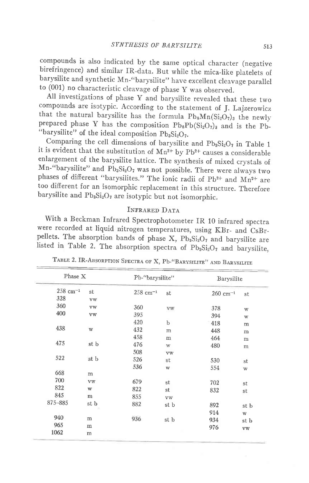compounds is also indicated by the same optical character (negative birefringence) and similar IR-data. But while the mica-like platelets of barysilite and synthetic Mn-"barysilite" have excellent cleavage parallel to (001) no characteristic cleavage of phase Y was observed.

All investigations of phase y and barysilite revealed that these two compounds are isotypic. According to the statement of J. Lajzerowicz that the natural barysilite has the formula  $Pb_8Mn(Si_2O_7)_3$  the newly prepared phase Y has the composition  $Pb_8Pb(Si_2O_7)_3$  and is the Pb-"barysilite" of the ideal composition  $Pb_3Si_2O_7$ .

Comparing the cell dimensions of barysilite and  $Pb_3Si_2O_7$  in Table 1 it is evident that the substitution of  $Mn^{2+}$  by Pb<sup>2+</sup> causes a considerable enlargement of the barysilite lattice. The synthesis of mixed crystals of Mn-"barysilite" and Pb<sub>3</sub>Si<sub>2</sub>O<sub>7</sub> was not possible. There were always two phases of different "barysilites." The ionic radii of  $Pb^{2+}$  and  $Mn^{2+}$  are too different for an isomorphic replacement in this structure. Therefore barysilite and  $Pb_3Si_2O_7$  are isotypic but not isomorphic.

#### INFRARED DATA

With a Beckman Infrared Spectrophotometer IR 10 infrared spectra were recorded at liquid nitrogen temperatures, using KBr- and CsBrpellets. The absorption bands of phase X,  $Pb_3Si_2O_7$  and barysilite are listed in Table 2. The absorption spectra of  $Pb_3Si_2O_7$  and barysilite,

| Phase X                |                  |                        | Pb-"barysilite"         |                       | Barysilite   |
|------------------------|------------------|------------------------|-------------------------|-----------------------|--------------|
| $258$ cm <sup>-1</sup> | st               | $258$ cm <sup>-1</sup> | st                      | $260 \text{ cm}^{-1}$ | st           |
| 328                    | vw               |                        |                         |                       |              |
| 360                    | vw               | 360                    | $_{\rm VW}$             | 378                   | W            |
| 400                    | vw               | 395                    |                         | 394                   | W            |
|                        |                  | 420                    | b                       | 418                   | m            |
| 438                    | W                | 432                    | m                       | 448                   | m            |
|                        |                  | 458                    | m                       | 464                   | m            |
| 475                    | st b             | 476                    | W                       | 480                   | m            |
|                        |                  | 508                    | <b>VW</b>               |                       |              |
| 522                    | st b             | 526                    | st                      | 530                   | st           |
|                        |                  | 536                    | $\ensuremath{\text{W}}$ | 554                   | W            |
| 668                    | m                |                        |                         |                       |              |
| 700                    | ${\rm V}{\rm W}$ | 679                    | st                      | 702                   | st           |
| 822                    | $\mathbf w$      | 822                    | st                      | 832                   | st           |
| 845                    | ${\bf m}$        | 855                    | <b>VW</b>               |                       |              |
| 875-885                | st b             | 882                    | st b                    | 892                   | st b         |
|                        |                  |                        |                         | 914                   | $\mathbf{W}$ |
| 940                    | m                | 936                    | st b                    | 934                   | st b         |
| 965                    | m                |                        |                         | 976                   | vw           |
| 1062                   | m                |                        |                         |                       |              |

TABLE 2. IR-ABSORPTION SPECTRA OF X, Pb-"BARYSILITE" AND BARYSILITE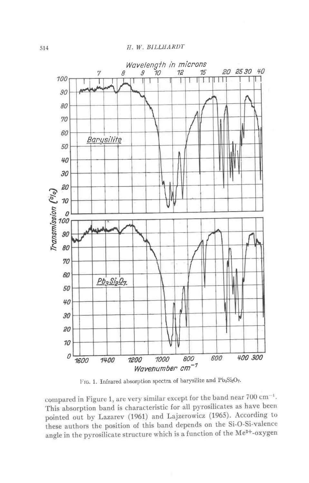



compared in Figure 1, are very similar except for the band near  $700 \text{ cm}^{-1}$ . This absorption band is characteristic for all pyrosilicates as have been pointed out by Lazarev (1961) and Lajzerowicz (1965). According to these authors the position of this band depends on the Si-O-Si-valence angle in the pyrosilicate structure which is a function of the Me<sup>2+</sup>-oxygen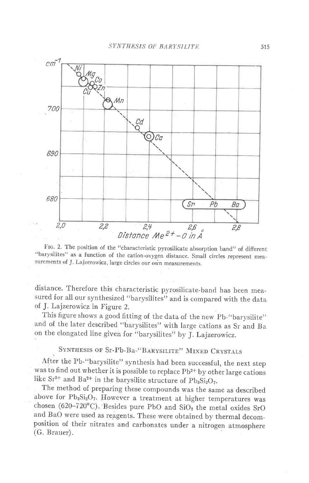

FIG. 2. The position of the "characteristic pyrosilicate absorption band" of different "barysilites" as a function of the cation-oxygen distance. Small circles represent measurements of J. Lajzerowicz, large circles our own measurements.

distance. Therefore this characteristic pyrosilicate-band has been measured for all our synthesized "barysilites" and is compared with the data of J. Lajzerowicz in Figure 2.

This figure shows a good fitting of the data of the new Pb-"barysilite" and of the later described "barysilites" with large cations as Sr and Ba on the elongated line given for "barysilites" by J. Lajzerowicz.

## SYNTHESIS OF Sr-Pb-Ba-"BARYSILITE" MIXED CRYSTALS

After the Pb-"barysilite" synthesis had been successful, the next step was to find out whether it is possible to replace Pb<sup>2+</sup> by other large cations like Sr<sup>2+</sup> and Ba<sup>2+</sup> in the barysilite structure of Pb<sub>3</sub>Si<sub>2</sub>O<sub>7</sub>.

The method of preparing these compounds was the same as described above for Pb<sub>3</sub>Si<sub>2</sub>O<sub>7</sub>. However a treatment at higher temperatures was chosen (620-720°C). Besides pure PbO and SiO<sub>2</sub> the metal oxides SrO and BaO were used as reagents. These were obtained by thermal decomposition of their nitrates and carbonates under a nitrogen atmosphere (G. Brauer).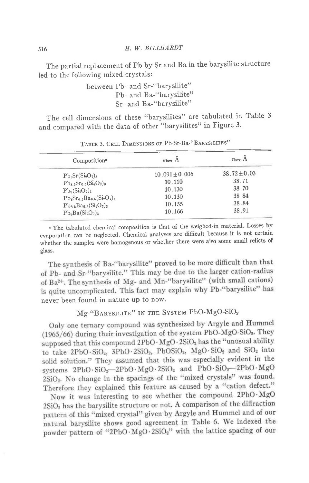The partial replacement of Pb by Sr and Ba in the barysilite structure led to the following mixed crystals:

> between Pb- and Sr-"barysilite" Pb- and Ba-"barvsilite" Sr- and Ba-"barysilite"

The cell dimensions of these "barysilites" are tabulated in Table 3 and compared with the data of other "barysilites" in Figure 3.

| Composition <sup>a</sup>      | $a_{\text{hex}}$ A | C <sub>hex</sub> A |
|-------------------------------|--------------------|--------------------|
| $Pb_8Sr(Si_2O_7)_3$           | $10.091 \pm 0.006$ | $38.72 \pm 0.03$   |
| $Pb_{8.5}Sr_{0.5}(Si_2O_7)_3$ | 10.110             | 38.71              |
| $Pb_9(Si_2O_7)_3$             | 10.130             | 38.70              |
| $Pb_8Sr_0.5Ba_0.5(Si_2O_7)_3$ | 10.130             | 38.84              |
| $Pb_{8,5}Ba_{0,5}(Si_2O_7)_3$ | 10.155             | 38.84              |
| $Pb_8Ba(Si_2O_7)_3$           | 10.166             | 38.91              |

|  |  |  |  |  | TABLE 3. CELL DIMENSIONS OF Pb-Sr-Ba-"BARYSILITES' |
|--|--|--|--|--|----------------------------------------------------|
|--|--|--|--|--|----------------------------------------------------|

a The tabulated chemical composition is that of the weighed-in material. Losses by evaporation can be neglected. Chemical analyses are difficult because it is not certain whether the samples were homogenous or whether there were also some small relicts of glass.

The synthesis of Ba-"barysilite" proved to be more difficult than that of Pb- and Sr-"barysilite." This may be due to the larger cation-radius of Ba<sup>2+</sup>. The synthesis of Mg- and Mn-"barysilite" (with small cations) is quite uncomplicated. This fact may explain why Pb-"barysilite" has never been found in nature up to now.

# Mg-"BARYSILITE" IN THE SYSTEM PbO-MgO-SiO<sub>2</sub>

Only one ternary compound was synthesized by Argyle and Hummel (1965/66) during their investigation of the system PbO-MgO-SiO2. They supposed that this compound 2PbO · MgO · 2SiO<sub>2</sub> has the "unusual ability to take 2PbO·SiO<sub>2</sub>, 3PbO·2SiO<sub>2</sub>, PbOSiO<sub>2</sub>, MgO·SiO<sub>2</sub> and SiO<sub>2</sub> into solid solution." They assumed that this was especially evident in the systems 2PbO·SiO<sub>2</sub>-2PbO·MgO·2SiO<sub>2</sub> and PbO·SiO<sub>2</sub>-2PbO·MgO 2SiO<sub>2</sub>. No change in the spacings of the "mixed crystals" was found. Therefore they explained this feature as caused by a "cation defect."

Now it was interesting to see whether the compound 2PbO·MgO 2SiO<sub>2</sub> has the barysilite structure or not. A comparison of the diffraction pattern of this "mixed crystal" given by Argyle and Hummel and of our natural barysilite shows good agreement in Table 6. We indexed the powder pattern of "2PbO·MgO·2SiO2" with the lattice spacing of our

516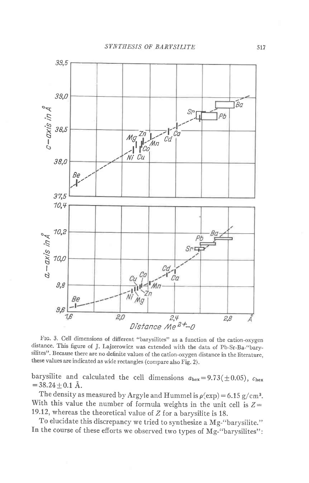

Frc. 3. cell dimensions of different "barysilites" as a function of the cation-oxygen distance. This figure of J. Lajzerowicz was extended with the data of Pb-Sr-Ba-"barysilites". Because there are no dehnite values of the cation-oxygen distance in the literature, these values are indicated as wide rectangles (compare also Fig. 2).

barysilite and calculated the cell dimensions  $a_{\text{hex}} = 9.73(\pm 0.05)$ ,  $c_{\text{hex}}$  $=38.24\pm0.1$  Å.

The density as measured by Argyle and Hummel is  $\rho(\exp) = 6.15 \text{ g/cm}^3$ . With this value the number of formula weights in the unit cell is  $Z=$ 19.12, whereas the theoretical value of  $Z$  for a barysilite is 18.

To elucidate this discrepancy we tried to synthesize a Mg-"barysilite." In the course of these efforts we observed two types of Mg-"barysilites":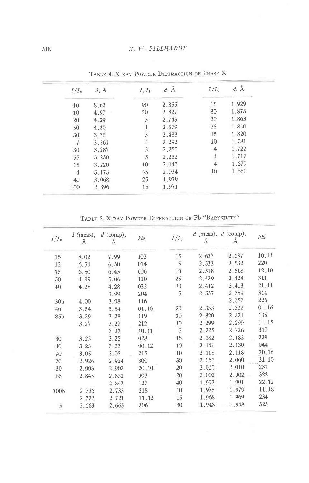| $I/I_0$        | $d, \mathring{A}$ | $I/I_0$ | $d, \mathring{A}$ | $I/I_0$        | $d, \AA$ |
|----------------|-------------------|---------|-------------------|----------------|----------|
| 10             | 8.62              | 90      | 2.855             | 15             | 1.929    |
| 10             | 4.97              | 50      | 2.827             | 30             | 1.875    |
| 20             | 4.39              | 3       | 2.743             | 20             | 1.863    |
| 50             | 4.30              |         | 2.579             | 35             | 1.840    |
| 30             | 3.75              | 5       | 2.483             | 15             | 1.820    |
| 7              | 3.561             | 4       | 2.292             | 10             | 1.781    |
| 30             | 3.287             | 3       | 2.257             | 4              | 1.722    |
| 55             | 3.250             | 5       | 2.232             | 4              | 1.717    |
| 15             | 3.220             | 10      | 2.147             | $\overline{4}$ | 1.679    |
| $\overline{4}$ | 3.173             | 45      | 2.034             | 10             | 1.660    |
| 40             | 3.068             | 25      | 1.979             |                |          |
| 100            | 2.896             | 15      | 1.971             |                |          |

TABLE 4. X-RAY POWDER DIFFRACTION OF PHASE X

TABLE 5. X-RAY POWDER DIFFRACTION OF Pb-"BARYSILITE"

| $I/I_0$          | $d$ (meas),<br>Å | $d$ (comp),<br>Å | hkl   | $I/I_0$        | Å     | $d$ (meas), $d$ (comp),<br>Ă | hkl   |
|------------------|------------------|------------------|-------|----------------|-------|------------------------------|-------|
| 15               | 8.02             | 7.99             | 102   | 15             | 2.637 | 2.637                        | 10.14 |
| 15               | 6.54             | 6.50             | 014   | $\overline{5}$ | 2.533 | 2.532                        | 220   |
| 15               | 6.50             | 6.45             | 006   | 10             | 2.518 | 2.518                        | 12.10 |
| 50               | 4.99             | 5.06             | 110   | 25             | 2.429 | 2.428                        | 311   |
| 40               | 4.28             | 4.28             | 022   | 20             | 2.412 | 2.413                        | 21.11 |
|                  |                  | 3.99             | 204   | 5              | 2.357 | 2.359                        | 314   |
| 30 <sub>b</sub>  | 4.00             | 3.98             | 116   |                |       | 2.357                        | 226   |
| 40               | 3.54             | 3.54             | 01.10 | 20             | 2.333 | 2.332                        | 01.16 |
| 85 <sub>b</sub>  | 3.29             | 3.28             | 119   | 10             | 2.320 | 2.321                        | 135   |
|                  | 3.27             | 3.27             | 212   | 10             | 2.299 | 2.299                        | 11.15 |
|                  |                  | 3.27             | 10.11 | $\overline{5}$ | 2.225 | 2.226                        | 317   |
| 30               | 3.25             | 3.25             | 028   | 15             | 2.182 | 2.182                        | 229   |
| 40               | 3.23             | 3.23             | 00.12 | 10             | 2.141 | 2.139                        | 044   |
| 90               | 3.05             | 3.05             | 215   | 10             | 2,118 | 2.118                        | 20.16 |
| 70               | 2.926            | 2.924            | 300   | 30             | 2.061 | 2.060                        | 31.10 |
| 30               | 2.903            | 2.902            | 20.10 | 20             | 2.010 | 2:010                        | 231   |
| 65               | 2.845            | 2.851            | 303   | 20             | 2.002 | 2.002                        | 322   |
|                  |                  | 2.843            | 127   | 40             | 1.992 | 1.991                        | 22.12 |
| 100 <sub>b</sub> | 2.736            | 2.735            | 218   | 10             | 1.975 | 1.979                        | 11.18 |
|                  | 2.722            | 2.721            | 11.12 | 15             | 1.968 | 1.969                        | 234   |
| 5                | 2.663            | 2.663            | 306   | 30             | 1.948 | 1.948                        | 325   |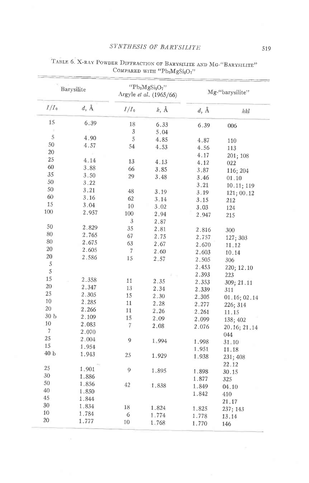# SYNTHESIS OF BARYSILITE

| Barysilite       |          |         | " $Pb_2MgSi_2O_7$ "<br>Argyle et al. (1965/66) | Mg-"barysilite" |              |  |
|------------------|----------|---------|------------------------------------------------|-----------------|--------------|--|
| $I/I_0$          | $d, \AA$ | $I/I_0$ | $k, \mathring{A}$                              | $d, \AA$        | hkl          |  |
| 15               | 6.39     | 18      | 6.33                                           | 6.39            | 006          |  |
|                  |          | 3       | 5.04                                           |                 |              |  |
| 5                | 4.90     | 5       | 4.85                                           | 4.87            | 110          |  |
| 50               | 4.57     | 54      | 4.53                                           | 4.56            | 113          |  |
| 20               |          |         |                                                | 4.17            | 201; 108     |  |
| 25               | 4.14     | 13      | 4.13                                           | 4.12            | 022          |  |
| 60               | 3.88     | 66      | 3.85                                           | 3.87            | 116; 204     |  |
| 35               | 3.50     | 29      | 3.48                                           | 3.46            | 01.10        |  |
| 50               | 3.22     |         |                                                | 3.21            | 10.11; 119   |  |
| 50               | 3.21     | 48      | 3.19                                           | 3.19            | 121; 00.12   |  |
| 60               | 3.16     | 62      | 3.14                                           | 3.15            | 212          |  |
| 15               | 3.04     | 10      | 3.02                                           | 3.03            | 124          |  |
| 100              | 2.957    | 100     | 2.94                                           | 2.947           | 215          |  |
|                  |          | 3       | 2.87                                           |                 |              |  |
| 50               | 2.829    | 35      | 2.81                                           | 2.816           | 300          |  |
| 80               | 2.765    | 67      | 2.75                                           | 2.757           | 127; 303     |  |
| 80               | 2.675    | 63      | 2.67                                           | 2.670           | 11.12        |  |
| 20               | 2.605    | 7       | 2.60                                           | 2.603           | 10.14        |  |
| 20               | 2.586    | 15      | 2.57                                           | 2.505           | 306          |  |
| $\sqrt{5}$       |          |         |                                                | 2.453           | 220; 12.10   |  |
| $\sqrt{5}$       |          |         |                                                | 2.393           | 223          |  |
| 15               | 2.358    | 11      | 2.35                                           | 2.353           | 309; 21.11   |  |
| 20               | 2.347    | 13      | 2.34                                           | 2.339           | 311          |  |
| 25               | 2.305    | 15      | 2.30                                           | 2.305           | 01.16; 02.14 |  |
| 10               | 2.285    | 11      | 2.28                                           | 2.277           | 226; 314     |  |
| 20               | 2.266    | 11      | 2.26                                           | 2.261           | 11.15        |  |
| 30 <sub>b</sub>  | 2.109    | 15      | 2.09                                           | 2.099           | 138; 402     |  |
| 10               | 2.083    | 7       | 2.08                                           | 2.076           | 20.16; 21.14 |  |
| 7                | 2.070    |         |                                                |                 | 044          |  |
| 25               | 2.004    | 9       | 1.994                                          | 1.998           | 31.10        |  |
| 15               | 1.954    |         |                                                | 1.951           | 11.18        |  |
| $40\ \mathrm{b}$ | 1.943    | 25      | 1.929                                          | 1.938           | 231; 408     |  |
|                  |          |         |                                                |                 | 22.12        |  |
| 25               | 1.901    | 9       | 1.895                                          | 1.898           | 30.15        |  |
| 30               | 1.886    |         |                                                | 1.877           | 325          |  |
| 50               | 1.856    | 42      | 1.838                                          | 1.849           | 04.10        |  |
| 40               | 1.850    |         |                                                | 1.842           | 410          |  |
| 45               | 1.844    |         |                                                |                 | 21.17        |  |
| 30               | 1.834    | 18      | 1.824                                          | 1.825           | 237; 143     |  |
| 10               | 1.784    | 6       | 1.774                                          | 1.778           | 13.14        |  |
| 20               | 1.777    | 10      | 1.768                                          | 1.770           | 146          |  |

# TABLE 6. X-RAY POWDER DIFFRACTION OF BARYSILITE AND MG-"BARYSILITE" COMPARED WITH "Pb2MgSi2O7"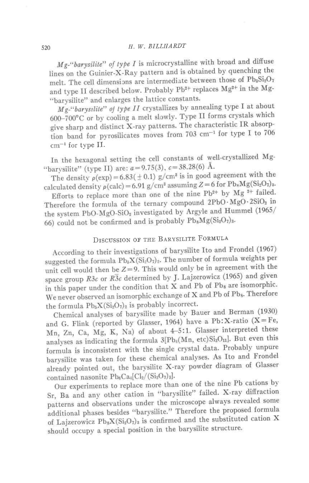$Mg$ -"barysilite" of type I is microcrystalline with broad and diffuse lines on the Guinier-X-Ray pattern and is obtained by quenching the melt. The cell dimensions are intermediate between those of Pb<sub>3</sub>Si<sub>2</sub>O<sub>7</sub> and type II described below. Probably Pb<sup>2+</sup> replaces Mg<sup>2+</sup> in the Mg-"barysilite" and enlarges the lattice constants.

Mg-"barysilile" of type II crystallizes by annealing type I at about 600-700°C or by cooling a melt slowly. Type II forms crystals which give sharp and distinct X-ray patterns. The characteristic IR absorption band for pyrosilicates moves from 703 cm<sup>-1</sup> for type I to 706  $cm^{-1}$  for type II.

In the hexagonal setting the cell constants of well-crystallized Mg-"barysilite" (type II) are:  $a = 9.75(3)$ ,  $c = 38.28(6)$  Å.

The density  $\rho(\exp) = 6.83(\pm 0.1)$  g/cm<sup>3</sup> is in good agreement with the calculated density  $\rho$ (calc) = 6.91 g/cm<sup>3</sup> assuming Z = 6 for Pb<sub>8</sub>Mg(Si<sub>2</sub>O<sub>7</sub>)<sub>3</sub>.

Efforts to replace more than one of the nine  $Pb^{2+}$  by Mg<sup>2+</sup> failed. Therefore the formula of the ternary compound  $2PbO·MgO·2SiO<sub>2</sub>$  in the system PbO-MgO-SiO<sub>2</sub> investigated by Argyle and Hummel (1965/ 66) could not be confirmed and is probably  $Pb_8Mg(Si_2O_7)_3$ .

# DISCUSSION OF THE BARYSILITE FORMULA

According to their investigations of barysilite Ito and Frondel (1967) suggested the formula  $Pb_{\delta}X(Si_2O_7)_2$ . The number of formula weights per unit cell would then be  $Z=9$ . This would only be in agreement with the space group R3c or  $R\overline{3}c$  determined by J. Lajzerowicz (1965) and given in this paper under the condition that X and Pb of Pbs are isomorphic. We never observed an isomorphic exchange of X and Pb of Pbs. Therefore the formula  $Pb_5X(Si_2O_7)_2$  is probably incorrect.

Chemical analyses of barysilite made by Bauer and Berman (1930) and G. Flink (reported by Glasser, 1964) have a Pb: X-ratio ( $X = Fe$ , Mn, Zn, Ca, Mg, K, Na) of about 4-5:1. Glasser interpreted these analyses as indicating the formula 3[Pb<sub>4</sub>(Mn, etc)Si<sub>3</sub>O<sub>11</sub>]. But even this formula is inconsistent with the single crystal data. Probably unpure barysilite was taken for these chemical analyses. As Ito and Frondel already pointed out, the barysilite X-ray powder diagram of Glasser contained nasonite  $Pb_6Ca_1[Cl_2/(Si_2O_7)_3]$ .

Our experiments to replace more than one of the nine Pb cations by Sr, Ba and any other cation in "barysilite" failed. X-ray diffraction patterns and observations under the microscope always revealed some additional phases besides "barysilite." Therefore the proposed formula of Lajzerowicz  $Pb_8X(Si_2O_7)$  is confirmed and the substituted cation X should occupy a special position in the barysilite structure.